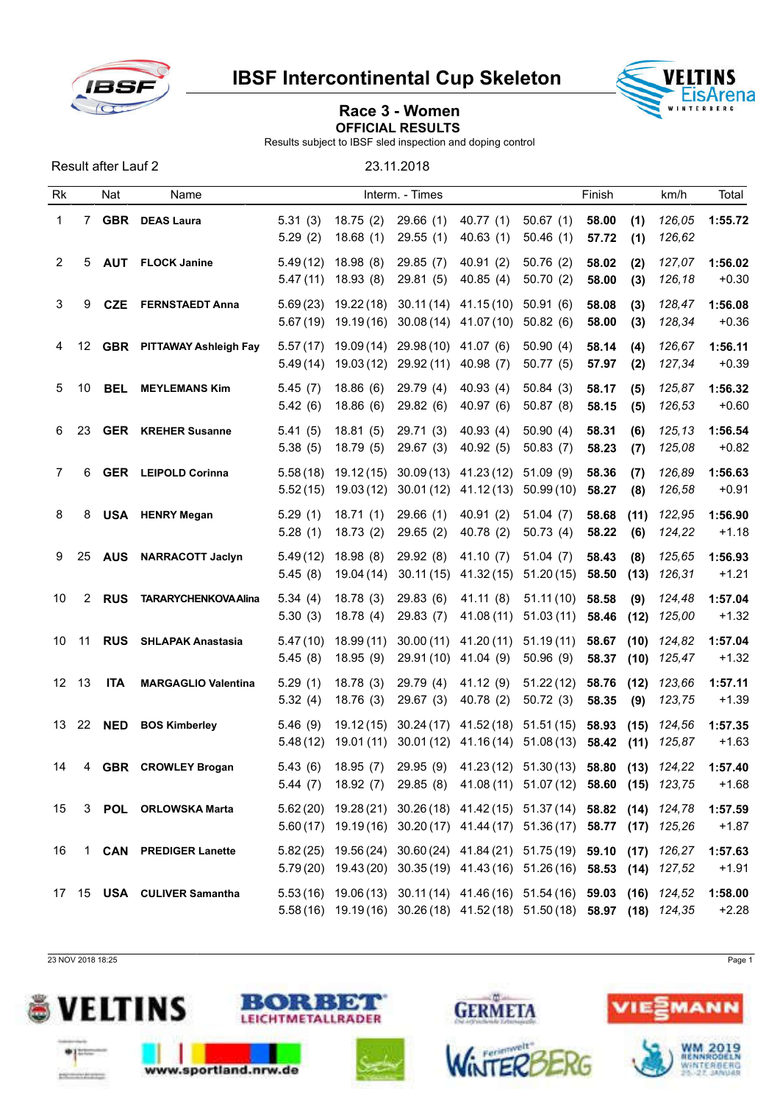

IBSF Intercontinental Cup Skeleton



## Race 3 - Women OFFICIAL RESULTS

Results subject to IBSF sled inspection and doping control

Result after Lauf 2 23.11.2018

| <b>Rk</b> |    | Nat        | Name                             |                      |                         | Interm. - Times                   |                                                                                                                                                    |                        | Finish         |              | km/h             | Total              |
|-----------|----|------------|----------------------------------|----------------------|-------------------------|-----------------------------------|----------------------------------------------------------------------------------------------------------------------------------------------------|------------------------|----------------|--------------|------------------|--------------------|
| 1         | 7  | <b>GBR</b> | <b>DEAS Laura</b>                | 5.31(3)<br>5.29(2)   | 18.75(2)<br>18.68(1)    | 29.66(1)<br>29.55(1)              | 40.77(1)<br>40.63(1)                                                                                                                               | 50.67(1)<br>50.46(1)   | 58.00<br>57.72 | (1)<br>(1)   | 126,05<br>126,62 | 1:55.72            |
| 2         | 5  | <b>AUT</b> | <b>FLOCK Janine</b>              | 5.49(12)<br>5.47(11) | 18.98(8)<br>18.93(8)    | 29.85 (7)<br>29.81 (5)            | 40.91(2)<br>40.85(4)                                                                                                                               | 50.76(2)<br>50.70(2)   | 58.02<br>58.00 | (2)<br>(3)   | 127,07<br>126,18 | 1:56.02<br>$+0.30$ |
| 3         | 9  | <b>CZE</b> | <b>FERNSTAEDT Anna</b>           | 5.69(23)<br>5.67(19) | 19.22(18)<br>19.19(16)  | 30.11(14)<br>30.08 (14)           | 41.15(10)<br>41.07 (10)                                                                                                                            | 50.91(6)<br>50.82(6)   | 58.08<br>58.00 | (3)<br>(3)   | 128,47<br>128,34 | 1:56.08<br>$+0.36$ |
| 4         | 12 |            | <b>GBR</b> PITTAWAY Ashleigh Fay | 5.57(17)<br>5.49(14) | 19.09 (14)<br>19.03(12) | 29.98(10)<br>29.92 (11)           | 41.07 (6)<br>40.98(7)                                                                                                                              | 50.90(4)<br>50.77(5)   | 58.14<br>57.97 | (4)<br>(2)   | 126,67<br>127,34 | 1:56.11<br>$+0.39$ |
| 5         | 10 | <b>BEL</b> | <b>MEYLEMANS Kim</b>             | 5.45(7)<br>5.42(6)   | 18.86(6)<br>18.86(6)    | 29.79 (4)<br>29.82(6)             | 40.93(4)<br>40.97(6)                                                                                                                               | 50.84(3)<br>50.87(8)   | 58.17<br>58.15 | (5)<br>(5)   | 125,87<br>126,53 | 1:56.32<br>$+0.60$ |
| 6         | 23 |            | <b>GER</b> KREHER Susanne        | 5.41(5)<br>5.38(5)   | 18.81(5)<br>18.79(5)    | 29.71 (3)<br>29.67 (3)            | 40.93(4)<br>40.92(5)                                                                                                                               | 50.90(4)<br>50.83(7)   | 58.31<br>58.23 | (6)<br>(7)   | 125,13<br>125,08 | 1:56.54<br>$+0.82$ |
| 7         | 6  |            | <b>GER</b> LEIPOLD Corinna       | 5.58(18)<br>5.52(15) | 19.12(15)<br>19.03(12)  | 30.09(13)<br>30.01(12)            | 41.23(12)<br>41.12(13)                                                                                                                             | 51.09(9)<br>50.99(10)  | 58.36<br>58.27 | (7)<br>(8)   | 126,89<br>126,58 | 1:56.63<br>$+0.91$ |
| 8         | 8  |            | <b>USA</b> HENRY Megan           | 5.29(1)<br>5.28(1)   | 18.71(1)<br>18.73(2)    | 29.66(1)<br>29.65(2)              | 40.91(2)<br>40.78(2)                                                                                                                               | 51.04(7)<br>50.73(4)   | 58.68<br>58.22 | (11)<br>(6)  | 122,95<br>124,22 | 1:56.90<br>$+1.18$ |
| 9         | 25 | <b>AUS</b> | <b>NARRACOTT Jaclyn</b>          | 5.49(12)<br>5.45(8)  | 18.98(8)<br>19.04 (14)  | 29.92(8)<br>30.11(15)             | 41.10(7)<br>41.32 (15)                                                                                                                             | 51.04(7)<br>51.20(15)  | 58.43<br>58.50 | (8)<br>(13)  | 125,65<br>126,31 | 1:56.93<br>$+1.21$ |
| 10        | 2  | <b>RUS</b> | <b>TARARYCHENKOVA Alina</b>      | 5.34(4)<br>5.30(3)   | 18.78(3)<br>18.78(4)    | 29.83(6)<br>29.83 (7)             | 41.11(8)<br>41.08 (11)                                                                                                                             | 51.11(10)<br>51.03(11) | 58.58<br>58.46 | (9)<br>(12)  | 124,48<br>125,00 | 1:57.04<br>$+1.32$ |
| 10        | 11 | <b>RUS</b> | <b>SHLAPAK Anastasia</b>         | 5.47(10)<br>5.45(8)  | 18.99(11)<br>18.95(9)   | 30.00(11)<br>29.91 (10) 41.04 (9) | 41.20(11)                                                                                                                                          | 51.19(11)<br>50.96(9)  | 58.67<br>58.37 | (10)<br>(10) | 124,82<br>125,47 | 1:57.04<br>$+1.32$ |
| 12        | 13 | <b>ITA</b> | <b>MARGAGLIO Valentina</b>       | 5.29(1)<br>5.32(4)   | 18.78(3)<br>18.76(3)    | 29.79 (4)<br>29.67(3)             | 41.12(9)<br>40.78(2)                                                                                                                               | 51.22(12)<br>50.72(3)  | 58.76<br>58.35 | (12)<br>(9)  | 123,66<br>123,75 | 1:57.11<br>$+1.39$ |
| 13        | 22 | <b>NED</b> | <b>BOS Kimberley</b>             | 5.46(9)<br>5.48(12)  | 19.12(15)<br>19.01(11)  | 30.24(17)<br>30.01(12)            | 41.52 (18) 51.51 (15)<br>41.16 (14)                                                                                                                | 51.08(13)              | 58.93<br>58.42 | (15)<br>(11) | 124,56<br>125,87 | 1:57.35<br>$+1.63$ |
| 14        | 4  | <b>GBR</b> | <b>CROWLEY Brogan</b>            | 5.43(6)              | 18.95 (7)               |                                   | 29.95 (9) 41.23 (12) 51.30 (13) 58.80 (13) 124,22<br>5.44 (7) 18.92 (7) 29.85 (8) 41.08 (11) 51.07 (12) 58.60 (15) 123,75                          |                        |                |              |                  | 1:57.40<br>$+1.68$ |
| 15        |    |            | 3 POL ORLOWSKA Marta             |                      |                         |                                   | 5.62 (20) 19.28 (21) 30.26 (18) 41.42 (15) 51.37 (14) 58.82 (14) 124,78<br>5.60(17) 19.19(16) 30.20(17) 41.44(17) 51.36(17) 58.77 (17) 125,26      |                        |                |              |                  | 1:57.59<br>$+1.87$ |
| 16        |    |            | 1 CAN PREDIGER Lanette           |                      |                         |                                   | 5.82 (25) 19.56 (24) 30.60 (24) 41.84 (21) 51.75 (19) 59.10 (17) 126,27<br>5.79(20) 19.43(20) 30.35(19) 41.43(16) 51.26(16) 58.53 (14) 127,52      |                        |                |              |                  | 1:57.63<br>$+1.91$ |
|           |    |            | 17 15 USA CULIVER Samantha       |                      |                         |                                   | 5.53 (16) 19.06 (13) 30.11 (14) 41.46 (16) 51.54 (16) 59.03 (16) 124,52<br>5.58 (16) 19.19 (16) 30.26 (18) 41.52 (18) 51.50 (18) 58.97 (18) 124,35 |                        |                |              |                  | 1:58.00<br>$+2.28$ |

23 NOV 2018 18:25 Page 1









ίŴ.

**GERMETA** 

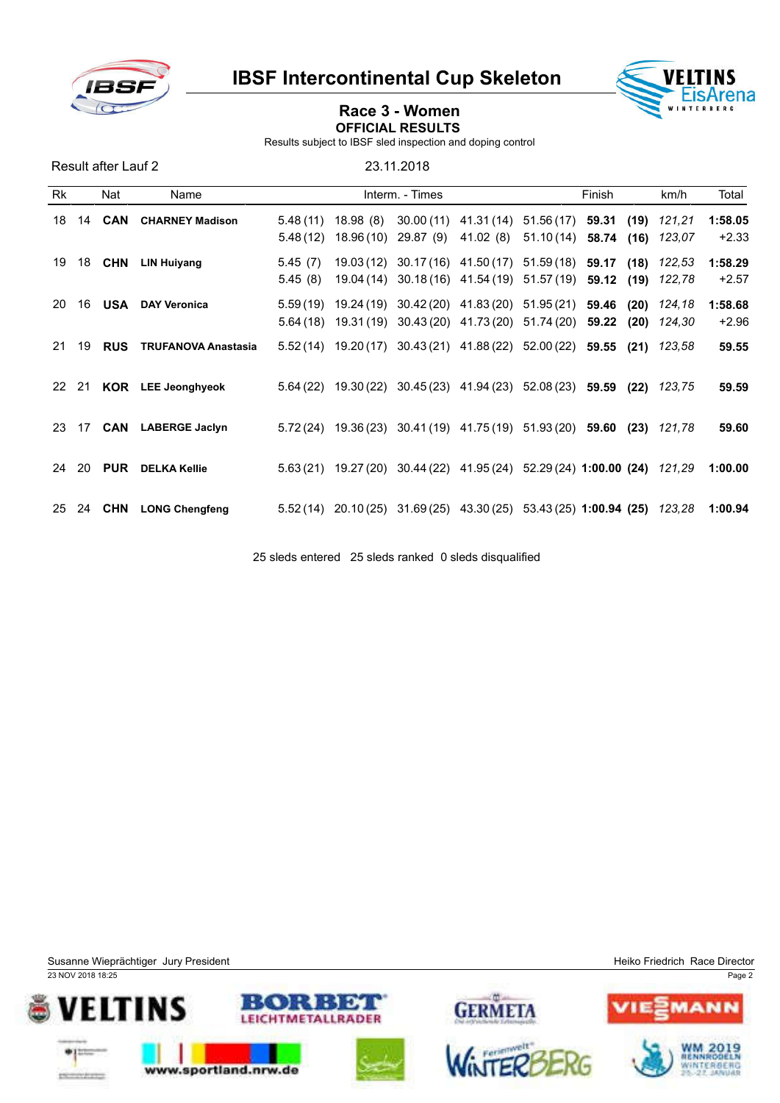

IBSF Intercontinental Cup Skeleton



## Race 3 - Women OFFICIAL RESULTS

Results subject to IBSF sled inspection and doping control

Result after Lauf 2 23.11.2018 Rk Nat Name **Interm.** - Times **Finish km/h** Total 14 CAN CHARNEY Madison 5.48 (11) 18.98 (8) 30.00 (11) 41.31 (14) 51.56 (17) 59.31 (19) *121,21* 1:58.05 5.48 (12) 18.96 (10) 29.87 (9) 41.02 (8) 51.10 (14) 58.74 (16) *123,07* +2.33 18 CHN LIN Huiyang 5.45 (7) 19.03 (12) 30.17 (16) 41.50 (17) 51.59 (18) 59.17 (18) *122,53* 1:58.29 5.45 (8) 19.04 (14) 30.18 (16) 41.54 (19) 51.57 (19) 59.12 (19) *122,78* +2.57 16 USA DAY Veronica 5.59 (19) 19.24 (19) 30.42 (20) 41.83 (20) 51.95 (21) 59.46 (20) *124,18* 1:58.68 5.64 (18) 19.31 (19) 30.43 (20) 41.73 (20) 51.74 (20) 59.22 (20) *124,30* +2.96 19 RUS TRUFANOVA Anastasia 5.52 (14) 19.20 (17) 30.43 (21) 41.88 (22) 52.00 (22) 59.55 (21) *123,58* 59.55 21 KOR LEE Jeonghyeok 5.64 (22) 19.30 (22) 30.45 (23) 41.94 (23) 52.08 (23) 59.59 (22) *123,75* 59.59 17 CAN LABERGE Jaclyn 5.72 (24) 19.36 (23) 30.41 (19) 41.75 (19) 51.93 (20) 59.60 (23) *121,78* 59.60 20 PUR DELKA Kellie 5.63 (21) 19.27 (20) 30.44 (22) 41.95 (24) 52.29 (24) 1:00.00 (24) *121,29* 1:00.00 24 CHN LONG Chengfeng 5.52 (14) 20.10 (25) 31.69 (25) 43.30 (25) 53.43 (25) 1:00.94 (25) *123,28* 1:00.94

25 sleds entered 25 sleds ranked 0 sleds disqualified

Susanne Wieprächtiger Jury President Heiko Friedrich Race Director Companies and Heiko Friedrich Race Director 23 NOV 2018 18:25 Page 2 GERMETA METALLRADER www.sportland.nrw.de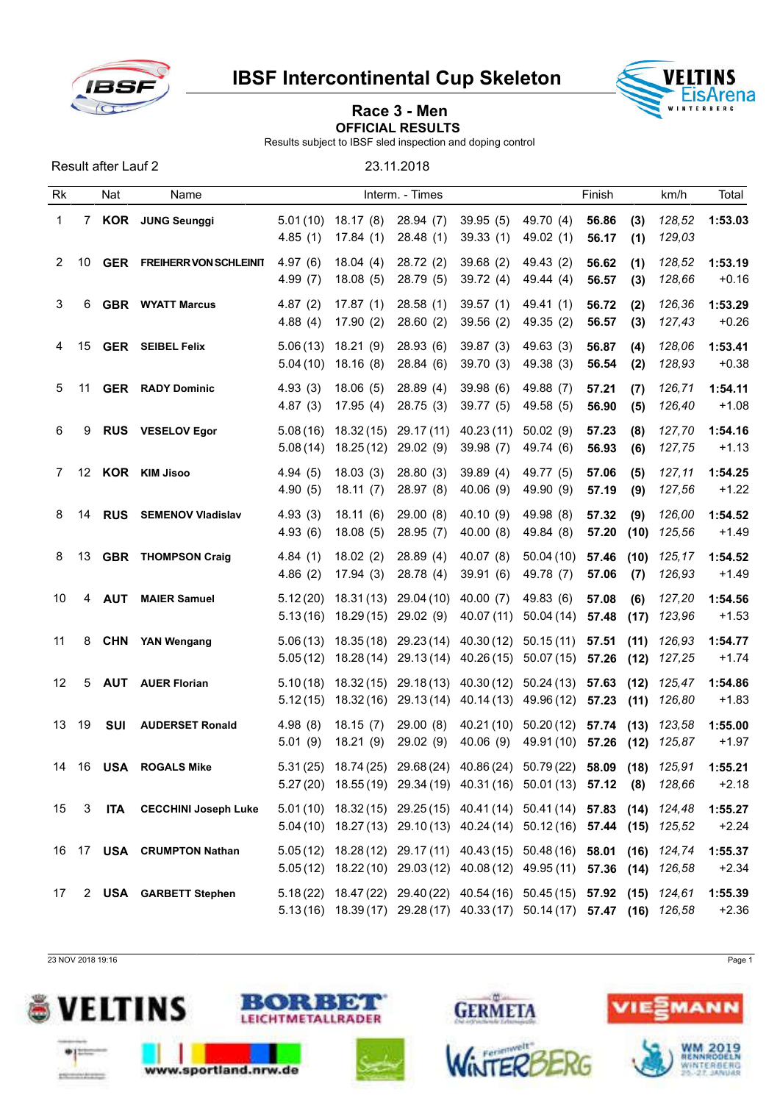

Result after Lauf 2 23.11.2018

IBSF Intercontinental Cup Skeleton



## Race 3 - Men OFFICIAL RESULTS

Results subject to IBSF sled inspection and doping control

Rk Nat Name **Interm.** - Times **Finish km/h Total** 1 7 KOR JUNG Seunggi 5.01 (10) 18.17 (8) 28.94 (7) 39.95 (5) 49.70 (4) 56.86 (3) *128,52* 1:53.03 4.85 (1) 17.84 (1) 28.48 (1) 39.33 (1) 49.02 (1) 56.17 (1) *129,03* 2 10 GER FREIHERR VON SCHLEINIT 4.97 (6) 18.04 (4) 28.72 (2) 39.68 (2) 49.43 (2) 56.62 (1) 128,52 1:53.19 4.99 (7) 18.08 (5) 28.79 (5) 39.72 (4) 49.44 (4) 56.57 (3) *128,66* +0.16 3 6 GBR WYATT Marcus 4.87 (2) 17.87 (1) 28.58 (1) 39.57 (1) 49.41 (1) 56.72 (2) *126,36* 1:53.29 4.88 (4) 17.90 (2) 28.60 (2) 39.56 (2) 49.35 (2) 56.57 (3) *127,43* +0.26 4 15 GER SEIBEL Felix 5.06 (13) 18.21 (9) 28.93 (6) 39.87 (3) 49.63 (3) 56.87 (4) *128,06* 1:53.41 5.04 (10) 18.16 (8) 28.84 (6) 39.70 (3) 49.38 (3) 56.54 (2) *128,93* +0.38 5 11 GER RADY Dominic 4.93 (3) 18.06 (5) 28.89 (4) 39.98 (6) 49.88 (7) 57.21 (7) *126,71* 1:54.11 4.87 (3) 17.95 (4) 28.75 (3) 39.77 (5) 49.58 (5) 56.90 (5) *126,40* +1.08 6 9 RUS VESELOV Egor 5.08 (16) 18.32 (15) 29.17 (11) 40.23 (11) 50.02 (9) 57.23 (8) *127,70* 1:54.16 5.08 (14) 18.25 (12) 29.02 (9) 39.98 (7) 49.74 (6) 56.93 (6) *127,75* +1.13 7 12 KOR KIM Jisoo 4.94 (5) 18.03 (3) 28.80 (3) 39.89 (4) 49.77 (5) 57.06 (5) *127,11* 1:54.25 4.90 (5) 18.11 (7) 28.97 (8) 40.06 (9) 49.90 (9) 57.19 (9) *127,56* +1.22 8 14 RUS SEMENOV Vladislav 4.93 (3) 18.11 (6) 29.00 (8) 40.10 (9) 49.98 (8) 57.32 (9) *126,00* 1:54.52 4.93 (6) 18.08 (5) 28.95 (7) 40.00 (8) 49.84 (8) 57.20 (10) *125,56* +1.49 8 13 GBR THOMPSON Craig 4.84 (1) 18.02 (2) 28.89 (4) 40.07 (8) 50.04 (10) 57.46 (10) *125,17* 1:54.52 4.86 (2) 17.94 (3) 28.78 (4) 39.91 (6) 49.78 (7) 57.06 (7) *126,93* +1.49 10 4 AUT MAIER Samuel 5.12 (20) 18.31 (13) 29.04 (10) 40.00 (7) 49.83 (6) 57.08 (6) *127,20* 1:54.56 5.13 (16) 18.29 (15) 29.02 (9) 40.07 (11) 50.04 (14) 57.48 (17) *123,96* +1.53 11 8 CHN YAN Wengang 5.06 (13) 18.35 (18) 29.23 (14) 40.30 (12) 50.15 (11) 57.51 (11) *126,93* 1:54.77 5.05 (12) 18.28 (14) 29.13 (14) 40.26 (15) 50.07 (15) 57.26 (12) *127,25* +1.74 12 5 AUT AUER Florian 5.10 (18) 18.32 (15) 29.18 (13) 40.30 (12) 50.24 (13) 57.63 (12) *125,47* 1:54.86 5.12 (15) 18.32 (16) 29.13 (14) 40.14 (13) 49.96 (12) 57.23 (11) *126,80* +1.83 13 19 SUI AUDERSET Ronald 4.98 (8) 18.15 (7) 29.00 (8) 40.21 (10) 50.20 (12) 57.74 (13) *123,58* 1:55.00 5.01 (9) 18.21 (9) 29.02 (9) 40.06 (9) 49.91 (10) 57.26 (12) *125,87* +1.97 14 16 USA ROGALS Mike 5.31 (25) 18.74 (25) 29.68 (24) 40.86 (24) 50.79 (22) 58.09 (18) *125,91* 1:55.21 5.27 (20) 18.55 (19) 29.34 (19) 40.31 (16) 50.01 (13) 57.12 (8) *128,66* +2.18 15 3 ITA CECCHINI Joseph Luke 5.01 (10) 18.32 (15) 29.25 (15) 40.41 (14) 50.41 (14) 57.83 (14) *124,48* 1:55.27 5.04 (10) 18.27 (13) 29.10 (13) 40.24 (14) 50.12 (16) 57.44 (15) *125,52* +2.24 16 17 USA CRUMPTON Nathan 5.05 (12) 18.28 (12) 29.17 (11) 40.43 (15) 50.48 (16) 58.01 (16) *124,74* 1:55.37 5.05 (12) 18.22 (10) 29.03 (12) 40.08 (12) 49.95 (11) 57.36 (14) *126,58* +2.34 17 2 USA GARBETT Stephen 5.18 (22) 18.47 (22) 29.40 (22) 40.54 (16) 50.45 (15) 57.92 (15) *124,61* 1:55.39 5.13 (16) 18.39 (17) 29.28 (17) 40.33 (17) 50.14 (17) 57.47 (16) *126,58* +2.36

23 NOV 2018 19:16 Page 1